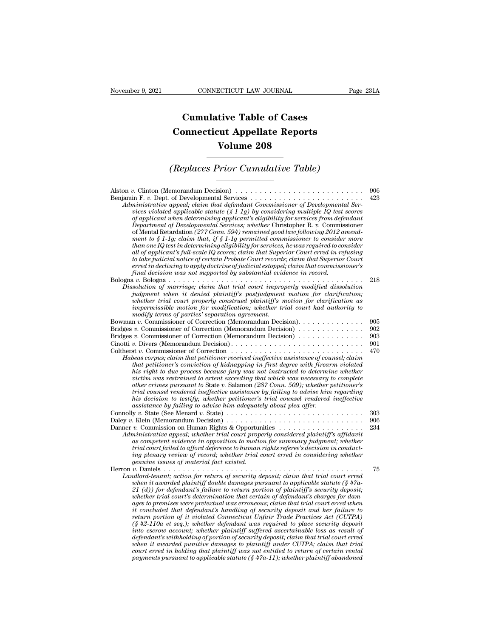## **CONNECTICUT LAW JOURNAL**<br> **Cumulative Table of Cases<br>
pnnecticut Appellate Reports CONNECTICUT LAW JOURNAL** Pag<br> **Cumulative Table of Cases**<br> **Connecticut Appellate Reports<br>
Volume 208 ECTICUT LAW JOURNAL**<br> **Volume 208**<br> **Volume 208**<br> **Volume 208**<br> **Prior Cumulative Table) Cumulative Table of Cases<br>
Connecticut Appellate Reports<br>
Volume 208<br>
(Replaces Prior Cumulative Table)**<br> **Conserved Conserved Appellative Table**

| <b>Volume 208</b>                                                                                                                                                                                                                                                                                                                                                                                                                                                                                                                                                                                                                                                                                                                                                                                                                                                                                                                                                                                                                                                                                                                                                              |                   |
|--------------------------------------------------------------------------------------------------------------------------------------------------------------------------------------------------------------------------------------------------------------------------------------------------------------------------------------------------------------------------------------------------------------------------------------------------------------------------------------------------------------------------------------------------------------------------------------------------------------------------------------------------------------------------------------------------------------------------------------------------------------------------------------------------------------------------------------------------------------------------------------------------------------------------------------------------------------------------------------------------------------------------------------------------------------------------------------------------------------------------------------------------------------------------------|-------------------|
| (Replaces Prior Cumulative Table)                                                                                                                                                                                                                                                                                                                                                                                                                                                                                                                                                                                                                                                                                                                                                                                                                                                                                                                                                                                                                                                                                                                                              |                   |
| Administrative appeal; claim that defendant Commissioner of Developmental Ser-<br>vices violated applicable statute $(\S 1-1g)$ by considering multiple IQ test scores<br>of applicant when determining applicant's eligibility for services from defendant<br>Department of Developmental Services; whether Christopher R. v. Commissioner<br>of Mental Retardation (277 Conn. 594) remained good law following 2012 amend-<br>ment to § 1-1g; claim that, if § 1-1g permitted commissioner to consider more<br>$than\, one\, IQ\, test\, in\, determining\, eligibility\, for\, services,\,he\, was\, required\ to\ consider$<br>all of applicant's full-scale IQ scores; claim that Superior Court erred in refusing<br>to take judicial notice of certain Probate Court records; claim that Superior Court<br>erred in declining to apply doctrine of judicial estoppel; claim that commissioner's<br>final decision was not supported by substantial evidence in record.                                                                                                                                                                                                  | 906<br>423        |
| Dissolution of marriage; claim that trial court improperly modified dissolution<br>judgment when it denied plaintiff's postjudgment motion for clarification;<br>whether trial court properly construed plaintiff's motion for clarification as<br>impermissible motion for modification; whether trial court had authority to<br>modify terms of parties' separation agreement.                                                                                                                                                                                                                                                                                                                                                                                                                                                                                                                                                                                                                                                                                                                                                                                               | 218               |
| Bowman v. Commissioner of Correction (Memorandum Decision).<br>Bridges v. Commissioner of Correction (Memorandum Decision) $\dots \dots \dots \dots$<br>Bridges v. Commissioner of Correction (Memorandum Decision)                                                                                                                                                                                                                                                                                                                                                                                                                                                                                                                                                                                                                                                                                                                                                                                                                                                                                                                                                            | 905<br>902<br>903 |
| Habeas corpus; claim that petitioner received ineffective assistance of counsel; claim<br>that petitioner's conviction of kidnapping in first degree with firearm violated<br>his right to due process because jury was not instructed to determine whether<br>victim was restrained to extent exceeding that which was necessary to complete<br>other crimes pursuant to State v. Salamon (287 Conn. 509); whether petitioner's<br>trial counsel rendered ineffective assistance by failing to advise him regarding<br>his decision to testify; whether petitioner's trial counsel rendered ineffective<br>assistance by failing to advise him adequately about plea offer.                                                                                                                                                                                                                                                                                                                                                                                                                                                                                                   | 901<br>470        |
| Daley v. Klein (Memorandum Decision) $\dots \dots \dots \dots \dots \dots \dots \dots \dots \dots \dots$<br>Administrative appeal; whether trial court properly considered plaintiff's affidavit<br>as competent evidence in opposition to motion for summary judgment; whether<br>trial court failed to afford deference to human rights referee's decision in conduct-<br>ing plenary review of record; whether trial court erred in considering whether<br><i>genuine issues of material fact existed.</i>                                                                                                                                                                                                                                                                                                                                                                                                                                                                                                                                                                                                                                                                  | 303<br>906<br>234 |
| Herron $v$ . Daniels<br>Landlord-tenant; action for return of security deposit; claim that trial court erred<br>when it awarded plaintiff double damages pursuant to applicable statute $(\frac{6}{5}47a-$<br>21 (d)) for defendant's failure to return portion of plaintiff's security deposit;<br>whether trial court's determination that certain of defendant's charges for dam-<br>ages to premises were pretextual was erroneous; claim that trial court erred when<br>it concluded that defendant's handling of security deposit and her failure to<br>return portion of it violated Connecticut Unfair Trade Practices Act (CUTPA)<br>$(\xi 42-110a$ et seq.); whether defendant was required to place security deposit<br>into escrow account; whether plaintiff suffered ascertainable loss as result of<br>defendant's withholding of portion of security deposit; claim that trial court erred<br>when it awarded punitive damages to plaintiff under CUTPA; claim that trial<br>court erred in holding that plaintiff was not entitled to return of certain rental<br>payments pursuant to applicable statute $(\frac{8}{3}47a-11)$ ; whether plaintiff abandoned | 75                |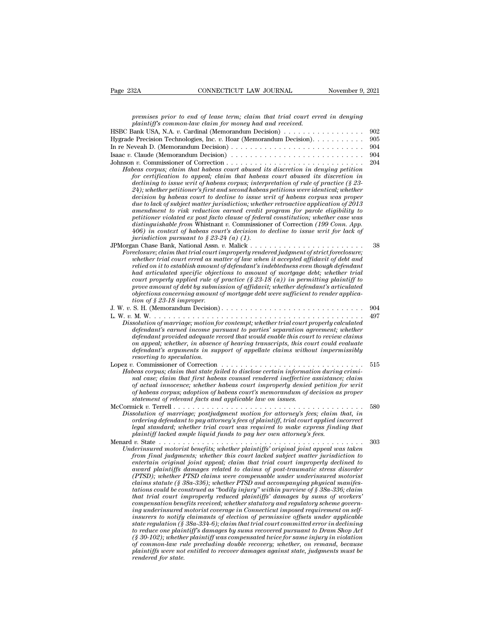| Page 232A<br>CONNECTICUT LAW JOURNAL                                                                                                                                                | November 9, 2021 |
|-------------------------------------------------------------------------------------------------------------------------------------------------------------------------------------|------------------|
|                                                                                                                                                                                     |                  |
| premises prior to end of lease term; claim that trial court erred in denying<br>plaintiff's common-law claim for money had and received.                                            |                  |
| HSBC Bank USA, N.A. v. Cardinal (Memorandum Decision) $\dots \dots \dots \dots \dots \dots$                                                                                         | 902              |
| Hygrade Precision Technologies, Inc. v. Hoar (Memorandum Decision).                                                                                                                 | 905              |
| In re Neveah D. (Memorandum Decision) $\dots \dots \dots \dots \dots \dots \dots \dots \dots \dots \dots$                                                                           | 904              |
| Isaac v. Claude (Memorandum Decision) $\ldots \ldots \ldots \ldots \ldots \ldots \ldots \ldots \ldots \ldots$                                                                       | 904              |
|                                                                                                                                                                                     | 204              |
| Habeas corpus; claim that habeas court abused its discretion in denying petition<br>for certification to appeal; claim that habeas court abused its discretion in                   |                  |
| declining to issue writ of habeas corpus; interpretation of rule of practice $\zeta$ 23-<br>$(24)$ ; whether petitioner's first and second habeas petitions were identical; whether |                  |
| decision by habeas court to decline to issue writ of habeas corpus was proper                                                                                                       |                  |
| due to lack of subject matter jurisdiction; whether retroactive application of $2013$                                                                                               |                  |
| amendment to risk reduction earned credit program for parole eligibility to<br>petitioner violated ex post facto clause of federal constitution; whether case was                   |                  |
| distinguishable from Whistnant v. Commissioner of Correction $(199 \;Conn.$ App.                                                                                                    |                  |
| 406) in context of habeas court's decision to decline to issue writ for lack of                                                                                                     |                  |
| jurisdiction pursuant to $\S 23-24$ (a) (1).                                                                                                                                        |                  |
| $\label{thm:1} \textit{For} \textit{eclosure}; \textit{claim that trial court} \textit{improperly rendered judgment of strict foreclosure};$                                        | 38               |
| whether trial court erred as matter of law when it accepted affidavit of debt and                                                                                                   |                  |
| relied on it to establish amount of defendant's indebtedness even though defendant                                                                                                  |                  |
| had articulated specific objections to amount of mortgage debt; whether trial                                                                                                       |                  |
| court properly applied rule of practice $(\S 23-18(a))$ in permitting plaintiff to<br>prove amount of debt by submission of affidavit; whether defendant's articulated              |                  |
| objections concerning amount of mortgage debt were sufficient to render applica-                                                                                                    |                  |
| tion of $\S$ 23-18 improper.                                                                                                                                                        |                  |
| J. W. v. S. H. (Memorandum Decision)                                                                                                                                                | 904              |
| Dissolution of marriage; motion for contempt; whether trial court properly calculated                                                                                               | 497              |
| defendant's earned income pursuant to parties' separation agreement; whether                                                                                                        |                  |
| defendant provided adequate record that would enable this court to review claims                                                                                                    |                  |
| on appeal; whether, in absence of hearing transcripts, this court could evaluate                                                                                                    |                  |
| defendant's arguments in support of appellate claims without impermissibly<br>resorting to speculation.                                                                             |                  |
|                                                                                                                                                                                     | 515              |
| Habeas corpus; claim that state failed to disclose certain information during crimi-                                                                                                |                  |
| nal case; claim that first habeas counsel rendered ineffective assistance; claim<br>of actual innocence; whether habeas court improperly denied petition for writ                   |                  |
| of habeas corpus; adoption of habeas court's memorandum of decision as proper                                                                                                       |                  |
| statement of relevant facts and applicable law on issues.                                                                                                                           |                  |
|                                                                                                                                                                                     | 580              |
| Dissolution of marriage; postjudgment motion for attorney's fees; claim that, in<br>ordering defendant to pay attorney's fees of plaintiff, trial court applied incorrect           |                  |
| legal standard; whether trial court was required to make express finding that                                                                                                       |                  |
| plaintiff lacked ample liquid funds to pay her own attorney's fees.                                                                                                                 |                  |
| Menard v. State $\ldots \ldots \ldots \ldots \ldots \ldots \ldots \ldots \ldots \ldots \ldots$                                                                                      | 303              |
| Underinsured motorist benefits; whether plaintiffs' original joint appeal was taken<br>from final judgments; whether this court lacked subject matter jurisdiction to               |                  |
| entertain original joint appeal; claim that trial court improperly declined to                                                                                                      |                  |
| award plaintiffs damages related to claims of post-traumatic stress disorder                                                                                                        |                  |
| (PTSD); whether PTSD claims were compensable under underinsured motorist<br>claims statute (§ 38a-336); whether PTSD and accompanying physical manifes-                             |                  |
| tations could be construed as "bodily injury" within purview of $\S$ 38a-336; claim                                                                                                 |                  |
| that trial court improperly reduced plaintiffs' damages by sums of workers'                                                                                                         |                  |
| compensation benefits received; whether statutory and regulatory scheme govern-                                                                                                     |                  |
| ing underinsured motorist coverage in Connecticut imposed requirement on self-<br>insurers to notify claimants of election of permissive offsets under applicable                   |                  |
| state regulation $(\S 38a - 334 - 6)$ ; claim that trial court committed error in declining                                                                                         |                  |
| to reduce one plaintiff's damages by sums recovered pursuant to Dram Shop Act                                                                                                       |                  |
| $(\S 30-102)$ ; whether plaintiff was compensated twice for same injury in violation                                                                                                |                  |
| of common-law rule precluding double recovery; whether, on remand, because<br>plaintiffs were not entitled to recover damages against state, judgments must be                      |                  |
| rendered for state.                                                                                                                                                                 |                  |
|                                                                                                                                                                                     |                  |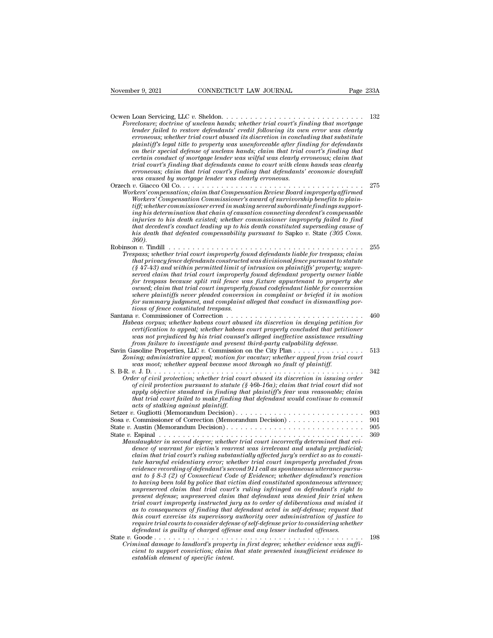| November 9, 2021<br>CONNECTICUT LAW JOURNAL                                                                                                                                                                                                                                                                                                                                                                                                                                                                                                                                                                                                                                                                                                                                                                                                                                                                                                                                                                                                                                                                                                                                                                      | Page 233A  |
|------------------------------------------------------------------------------------------------------------------------------------------------------------------------------------------------------------------------------------------------------------------------------------------------------------------------------------------------------------------------------------------------------------------------------------------------------------------------------------------------------------------------------------------------------------------------------------------------------------------------------------------------------------------------------------------------------------------------------------------------------------------------------------------------------------------------------------------------------------------------------------------------------------------------------------------------------------------------------------------------------------------------------------------------------------------------------------------------------------------------------------------------------------------------------------------------------------------|------------|
| Ocwen Loan Servicing, LLC v. Sheldon<br>Foreclosure; doctrine of unclean hands; whether trial court's finding that mortgage<br>lender failed to restore defendants' credit following its own error was clearly<br>erroneous; whether trial court abused its discretion in concluding that substitute<br>plaintiff's legal title to property was unenforceable after finding for defendants<br>on their special defense of unclean hands; claim that trial court's finding that<br>certain conduct of mortagge lender was wilful was clearly erroneous; claim that<br>trial court's finding that defendants came to court with clean hands was clearly<br>erroneous; claim that trial court's finding that defendants' economic downfall<br>was caused by mortgage lender was clearly erroneous.                                                                                                                                                                                                                                                                                                                                                                                                                  | 132        |
| Workers' compensation; claim that Compensation Review Board improperly affirmed<br>Workers' Compensation Commissioner's award of survivorship benefits to plain-<br>tiff; whether commissioner erred in making several subordinate findings support-<br>ing his determination that chain of causation connecting decedent's compensable<br>injuries to his death existed; whether commissioner improperly failed to find<br>that decedent's conduct leading up to his death constituted superseding cause of<br>his death that defeated compensability pursuant to Sapko v. State (305 Conn.<br>360).                                                                                                                                                                                                                                                                                                                                                                                                                                                                                                                                                                                                            | 275        |
| Robinson v. Tindill $\ldots \ldots \ldots \ldots \ldots \ldots \ldots \ldots \ldots \ldots \ldots \ldots$<br>Trespass; whether trial court improperly found defendants liable for trespass; claim<br>that privacy fence defendants constructed was divisional fence pursuant to statute<br>$(\frac{8}{47-43})$ and within permitted limit of intrusion on plaintiffs' property; unpre-<br>served claim that trial court improperly found defendant property owner liable<br>for trespass because split rail fence was fixture appurtenant to property she<br>owned; claim that trial court improperly found codefendant liable for conversion<br>where plaintiffs never pleaded conversion in complaint or briefed it in motion<br>for summary judgment, and complaint alleged that conduct in dismantling por-<br>tions of fence constituted trespass.                                                                                                                                                                                                                                                                                                                                                          | 255        |
| Habeas corpus; whether habeas court abused its discretion in denying petition for<br>certification to appeal; whether habeas court properly concluded that petitioner<br>was not prejudiced by his trial counsel's alleged ineffective assistance resulting<br>from failure to investigate and present third-party culpability defense.                                                                                                                                                                                                                                                                                                                                                                                                                                                                                                                                                                                                                                                                                                                                                                                                                                                                          | 460        |
| Savin Gasoline Properties, LLC $v$ . Commission on the City Plan $\ldots$ , $\ldots$ , $\ldots$ ,<br>Zoning; administrative appeal; motion for vacatur; whether appeal from trial court<br>was moot; whether appeal became moot through no fault of plaintiff.                                                                                                                                                                                                                                                                                                                                                                                                                                                                                                                                                                                                                                                                                                                                                                                                                                                                                                                                                   | 513        |
| Order of civil protection; whether trial court abused its discretion in issuing order<br>of civil protection pursuant to statute $(\frac{8}{16}b - 16a)$ ; claim that trial court did not<br>apply objective standard in finding that plaintiff's fear was reasonable; claim<br>that trial court failed to make finding that defendant would continue to commit<br>acts of stalking against plaintiff.                                                                                                                                                                                                                                                                                                                                                                                                                                                                                                                                                                                                                                                                                                                                                                                                           | 342        |
|                                                                                                                                                                                                                                                                                                                                                                                                                                                                                                                                                                                                                                                                                                                                                                                                                                                                                                                                                                                                                                                                                                                                                                                                                  | 903        |
|                                                                                                                                                                                                                                                                                                                                                                                                                                                                                                                                                                                                                                                                                                                                                                                                                                                                                                                                                                                                                                                                                                                                                                                                                  | 901<br>905 |
| Manslaughter in second degree; whether trial court incorrectly determined that evi-<br>dence of warrant for victim's rearrest was irrelevant and unduly prejudicial;<br>claim that trial court's ruling substantially affected jury's verdict so as to consti-<br>tute harmful evidentiary error; whether trial court improperly precluded from<br>evidence recording of defendant's second 911 call as spontaneous utterance pursu-<br>ant to $\S 8-3$ (2) of Connecticut Code of Evidence; whether defendant's reaction<br>to having been told by police that victim died constituted spontaneous utterance;<br>unpreserved claim that trial court's ruling infringed on defendant's right to<br>present defense; unpreserved claim that defendant was denied fair trial when<br>trial court improperly instructed jury as to order of deliberations and misled it<br>as to consequences of finding that defendant acted in self-defense; request that<br>this court exercise its supervisory authority over administration of justice to<br>require trial courts to consider defense of self-defense prior to considering whether<br>defendant is guilty of charged offense and any lesser included offenses. | 369        |
| Criminal damage to landlord's property in first degree; whether evidence was suffi-<br>cient to support conviction; claim that state presented insufficient evidence to<br>establish element of specific intent.                                                                                                                                                                                                                                                                                                                                                                                                                                                                                                                                                                                                                                                                                                                                                                                                                                                                                                                                                                                                 | 198        |